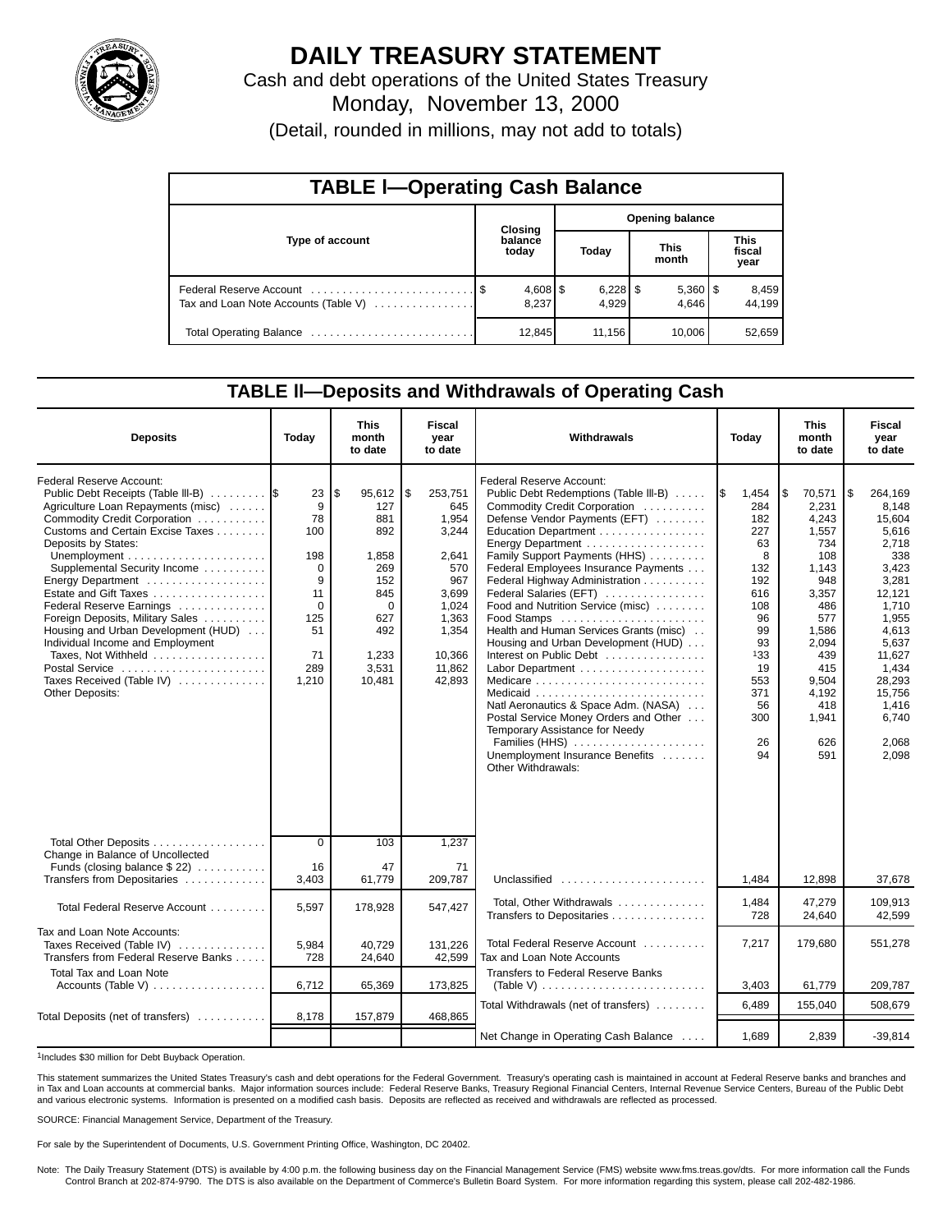

## **DAILY TREASURY STATEMENT**

Cash and debt operations of the United States Treasury Monday, November 13, 2000 (Detail, rounded in millions, may not add to totals)

| <b>TABLE I-Operating Cash Balance</b> |  |                  |                        |                     |  |                       |                               |                 |  |  |  |  |  |
|---------------------------------------|--|------------------|------------------------|---------------------|--|-----------------------|-------------------------------|-----------------|--|--|--|--|--|
|                                       |  | Closing          | <b>Opening balance</b> |                     |  |                       |                               |                 |  |  |  |  |  |
| Type of account                       |  | balance<br>today |                        | Today               |  | <b>This</b><br>month  | <b>This</b><br>fiscal<br>year |                 |  |  |  |  |  |
| Tax and Loan Note Accounts (Table V)  |  | 8.237            |                        | $6,228$ \$<br>4.929 |  | $5,360$   \$<br>4.646 |                               | 8,459<br>44.199 |  |  |  |  |  |
|                                       |  | 12,845           |                        | 11,156              |  | 10,006                |                               | 52,659          |  |  |  |  |  |

### **TABLE ll—Deposits and Withdrawals of Operating Cash**

| <b>Deposits</b>                                                                                                                                                                                                                                                                                                                                                                                                                                                                                                                                                                            | Today                                                                                                | This<br>month<br>to date                                                                                              | Fiscal<br>year<br>to date                                                                                                       | Withdrawals                                                                                                                                                                                                                                                                                                                                                                                                                                                                                                                                                                                                                                                                | Today                                                                                                                                          | This<br>month<br>to date                                                                                                                                                     | Fiscal<br>year<br>to date                                                                                                                                                                              |
|--------------------------------------------------------------------------------------------------------------------------------------------------------------------------------------------------------------------------------------------------------------------------------------------------------------------------------------------------------------------------------------------------------------------------------------------------------------------------------------------------------------------------------------------------------------------------------------------|------------------------------------------------------------------------------------------------------|-----------------------------------------------------------------------------------------------------------------------|---------------------------------------------------------------------------------------------------------------------------------|----------------------------------------------------------------------------------------------------------------------------------------------------------------------------------------------------------------------------------------------------------------------------------------------------------------------------------------------------------------------------------------------------------------------------------------------------------------------------------------------------------------------------------------------------------------------------------------------------------------------------------------------------------------------------|------------------------------------------------------------------------------------------------------------------------------------------------|------------------------------------------------------------------------------------------------------------------------------------------------------------------------------|--------------------------------------------------------------------------------------------------------------------------------------------------------------------------------------------------------|
| <b>Federal Reserve Account:</b><br>Public Debt Receipts (Table III-B)<br>Agriculture Loan Repayments (misc)<br>Commodity Credit Corporation<br>Customs and Certain Excise Taxes<br>Deposits by States:<br>Unemployment $\dots\dots\dots\dots\dots\dots\dots\dots$<br>Supplemental Security Income<br>Energy Department<br>Estate and Gift Taxes<br>Federal Reserve Earnings<br>Foreign Deposits, Military Sales<br>Housing and Urban Development (HUD)<br>Individual Income and Employment<br>Taxes, Not Withheld<br>Postal Service<br>Taxes Received (Table IV)<br><b>Other Deposits:</b> | 23<br>9<br>78<br>100<br>198<br>$\Omega$<br>9<br>11<br>$\mathbf 0$<br>125<br>51<br>71<br>289<br>1,210 | 95,612<br>\$<br>127<br>881<br>892<br>1,858<br>269<br>152<br>845<br>$\Omega$<br>627<br>492<br>1,233<br>3,531<br>10,481 | \$<br>253,751<br>645<br>1.954<br>3,244<br>2.641<br>570<br>967<br>3,699<br>1,024<br>1,363<br>1,354<br>10,366<br>11,862<br>42,893 | Federal Reserve Account:<br>Public Debt Redemptions (Table III-B)<br>Commodity Credit Corporation<br>Defense Vendor Payments (EFT)<br>Education Department<br>Family Support Payments (HHS)<br>Federal Employees Insurance Payments<br>Federal Highway Administration<br>Federal Salaries (EFT)<br>Food and Nutrition Service (misc)<br>Food Stamps<br>Health and Human Services Grants (misc)<br>Housing and Urban Development (HUD)<br>Interest on Public Debt<br>Medicare<br>Natl Aeronautics & Space Adm. (NASA)<br>Postal Service Money Orders and Other<br>Temporary Assistance for Needy<br>Families (HHS)<br>Unemployment Insurance Benefits<br>Other Withdrawals: | 1,454<br>I\$<br>284<br>182<br>227<br>63<br>8<br>132<br>192<br>616<br>108<br>96<br>99<br>93<br>133<br>19<br>553<br>371<br>56<br>300<br>26<br>94 | 70,571<br>\$<br>2.231<br>4.243<br>1.557<br>734<br>108<br>1,143<br>948<br>3,357<br>486<br>577<br>1,586<br>2,094<br>439<br>415<br>9.504<br>4,192<br>418<br>1,941<br>626<br>591 | l \$<br>264,169<br>8.148<br>15.604<br>5.616<br>2.718<br>338<br>3,423<br>3,281<br>12.121<br>1,710<br>1,955<br>4,613<br>5,637<br>11,627<br>1.434<br>28,293<br>15.756<br>1,416<br>6.740<br>2,068<br>2.098 |
| Total Other Deposits<br>Change in Balance of Uncollected<br>Funds (closing balance $$22$ )<br>Transfers from Depositaries                                                                                                                                                                                                                                                                                                                                                                                                                                                                  | $\overline{0}$<br>16<br>3,403                                                                        | 103<br>47<br>61,779                                                                                                   | 1,237<br>71<br>209,787                                                                                                          | Unclassified                                                                                                                                                                                                                                                                                                                                                                                                                                                                                                                                                                                                                                                               | 1,484                                                                                                                                          | 12,898                                                                                                                                                                       | 37,678                                                                                                                                                                                                 |
| Total Federal Reserve Account                                                                                                                                                                                                                                                                                                                                                                                                                                                                                                                                                              | 5,597                                                                                                | 178,928                                                                                                               | 547,427                                                                                                                         | Total, Other Withdrawals<br>Transfers to Depositaries                                                                                                                                                                                                                                                                                                                                                                                                                                                                                                                                                                                                                      | 1,484<br>728                                                                                                                                   | 47.279<br>24,640                                                                                                                                                             | 109.913<br>42.599                                                                                                                                                                                      |
| Tax and Loan Note Accounts:<br>Taxes Received (Table IV)<br>Transfers from Federal Reserve Banks                                                                                                                                                                                                                                                                                                                                                                                                                                                                                           | 5,984<br>728                                                                                         | 40.729<br>24,640                                                                                                      | 131,226<br>42,599                                                                                                               | Total Federal Reserve Account<br>Tax and Loan Note Accounts                                                                                                                                                                                                                                                                                                                                                                                                                                                                                                                                                                                                                | 7,217                                                                                                                                          | 179,680                                                                                                                                                                      | 551,278                                                                                                                                                                                                |
| <b>Total Tax and Loan Note</b><br>Accounts (Table V)                                                                                                                                                                                                                                                                                                                                                                                                                                                                                                                                       | 6,712                                                                                                | 65,369                                                                                                                | 173,825                                                                                                                         | Transfers to Federal Reserve Banks<br>(Table V) $\ldots \ldots \ldots \ldots \ldots \ldots \ldots \ldots$                                                                                                                                                                                                                                                                                                                                                                                                                                                                                                                                                                  | 3,403                                                                                                                                          | 61,779                                                                                                                                                                       | 209,787                                                                                                                                                                                                |
| Total Deposits (net of transfers)                                                                                                                                                                                                                                                                                                                                                                                                                                                                                                                                                          | 8,178                                                                                                | 157,879                                                                                                               | 468,865                                                                                                                         | Total Withdrawals (net of transfers)                                                                                                                                                                                                                                                                                                                                                                                                                                                                                                                                                                                                                                       | 6,489                                                                                                                                          | 155,040                                                                                                                                                                      | 508,679                                                                                                                                                                                                |
|                                                                                                                                                                                                                                                                                                                                                                                                                                                                                                                                                                                            |                                                                                                      |                                                                                                                       |                                                                                                                                 | Net Change in Operating Cash Balance                                                                                                                                                                                                                                                                                                                                                                                                                                                                                                                                                                                                                                       | 1,689                                                                                                                                          | 2,839                                                                                                                                                                        | $-39,814$                                                                                                                                                                                              |

1Includes \$30 million for Debt Buyback Operation.

This statement summarizes the United States Treasury's cash and debt operations for the Federal Government. Treasury's operating cash is maintained in account at Federal Reserve banks and branches and<br>in Tax and Loan accou and various electronic systems. Information is presented on a modified cash basis. Deposits are reflected as received and withdrawals are reflected as processed.

SOURCE: Financial Management Service, Department of the Treasury.

For sale by the Superintendent of Documents, U.S. Government Printing Office, Washington, DC 20402.

Note: The Daily Treasury Statement (DTS) is available by 4:00 p.m. the following business day on the Financial Management Service (FMS) website www.fms.treas.gov/dts. For more information call the Funds<br>Control Branch at 2